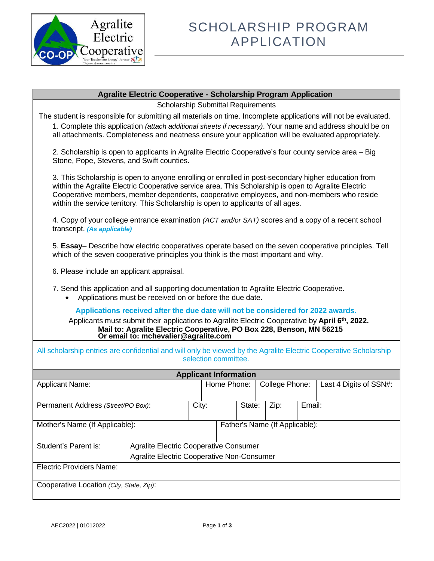

## **Agralite Electric Cooperative - Scholarship Program Application**

Scholarship Submittal Requirements

The student is responsible for submitting all materials on time. Incomplete applications will not be evaluated.

1. Complete this application *(attach additional sheets if necessary)*. Your name and address should be on all attachments. Completeness and neatness ensure your application will be evaluated appropriately.

2. Scholarship is open to applicants in Agralite Electric Cooperative's four county service area – Big Stone, Pope, Stevens, and Swift counties.

3. This Scholarship is open to anyone enrolling or enrolled in post-secondary higher education from within the Agralite Electric Cooperative service area. This Scholarship is open to Agralite Electric Cooperative members, member dependents, cooperative employees, and non-members who reside within the service territory. This Scholarship is open to applicants of all ages.

4. Copy of your college entrance examination *(ACT and/or SAT)* scores and a copy of a recent school transcript. *(As applicable)*

5. **Essay**– Describe how electric cooperatives operate based on the seven cooperative principles. Tell which of the seven cooperative principles you think is the most important and why.

6. Please include an applicant appraisal.

7. Send this application and all supporting documentation to Agralite Electric Cooperative.

• Applications must be received on or before the due date.

**Applications received after the due date will not be considered for 2022 awards.** 

Applicants must submit their applications to Agralite Electric Cooperative by **April 6th, 2022. Mail to: Agralite Electric Cooperative, PO Box 228, Benson, MN 56215 Or email to: mchevalier@agralite.com**

| All scholarship entries are confidential and will only be viewed by the Agralite Electric Cooperative Scholarship<br>selection committee. |  |                                               |                              |        |  |                |        |                        |
|-------------------------------------------------------------------------------------------------------------------------------------------|--|-----------------------------------------------|------------------------------|--------|--|----------------|--------|------------------------|
|                                                                                                                                           |  |                                               | <b>Applicant Information</b> |        |  |                |        |                        |
| <b>Applicant Name:</b>                                                                                                                    |  |                                               | Home Phone:                  |        |  | College Phone: |        | Last 4 Digits of SSN#: |
|                                                                                                                                           |  |                                               |                              |        |  |                |        |                        |
| Permanent Address (Street/PO Box):                                                                                                        |  | City:                                         |                              | State: |  | Zip:           | Email: |                        |
|                                                                                                                                           |  |                                               |                              |        |  |                |        |                        |
| Mother's Name (If Applicable):                                                                                                            |  | Father's Name (If Applicable):                |                              |        |  |                |        |                        |
|                                                                                                                                           |  |                                               |                              |        |  |                |        |                        |
| Student's Parent is:                                                                                                                      |  | <b>Agralite Electric Cooperative Consumer</b> |                              |        |  |                |        |                        |
| <b>Agralite Electric Cooperative Non-Consumer</b>                                                                                         |  |                                               |                              |        |  |                |        |                        |
| <b>Electric Providers Name:</b>                                                                                                           |  |                                               |                              |        |  |                |        |                        |
|                                                                                                                                           |  |                                               |                              |        |  |                |        |                        |
| Cooperative Location (City, State, Zip):                                                                                                  |  |                                               |                              |        |  |                |        |                        |
|                                                                                                                                           |  |                                               |                              |        |  |                |        |                        |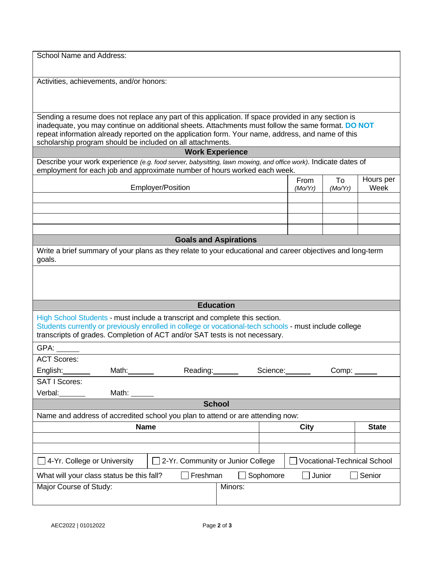School Name and Address:

Activities, achievements, and/or honors:

Sending a resume does not replace any part of this application. If space provided in any section is inadequate, you may continue on additional sheets. Attachments must follow the same format. **DO NOT** repeat information already reported on the application form. Your name, address, and name of this scholarship program should be included on all attachments.

| <b>Work Experience</b>                                                                                                                                                                                                                                               |                           |               |             |              |                 |               |                   |
|----------------------------------------------------------------------------------------------------------------------------------------------------------------------------------------------------------------------------------------------------------------------|---------------------------|---------------|-------------|--------------|-----------------|---------------|-------------------|
| Describe your work experience (e.g. food server, babysitting, lawn mowing, and office work). Indicate dates of                                                                                                                                                       |                           |               |             |              |                 |               |                   |
| employment for each job and approximate number of hours worked each week.                                                                                                                                                                                            |                           |               |             |              |                 |               |                   |
|                                                                                                                                                                                                                                                                      | Employer/Position         |               |             |              | From<br>(Mo/Yr) | To<br>(Mo/Yr) | Hours per<br>Week |
|                                                                                                                                                                                                                                                                      |                           |               |             |              |                 |               |                   |
|                                                                                                                                                                                                                                                                      |                           |               |             |              |                 |               |                   |
|                                                                                                                                                                                                                                                                      |                           |               |             |              |                 |               |                   |
|                                                                                                                                                                                                                                                                      |                           |               |             |              |                 |               |                   |
| <b>Goals and Aspirations</b>                                                                                                                                                                                                                                         |                           |               |             |              |                 |               |                   |
| Write a brief summary of your plans as they relate to your educational and career objectives and long-term<br>goals.                                                                                                                                                 |                           |               |             |              |                 |               |                   |
|                                                                                                                                                                                                                                                                      |                           |               |             |              |                 |               |                   |
|                                                                                                                                                                                                                                                                      |                           |               |             |              |                 |               |                   |
|                                                                                                                                                                                                                                                                      |                           |               |             |              |                 |               |                   |
| <b>Education</b>                                                                                                                                                                                                                                                     |                           |               |             |              |                 |               |                   |
| High School Students - must include a transcript and complete this section.<br>Students currently or previously enrolled in college or vocational-tech schools - must include college<br>transcripts of grades. Completion of ACT and/or SAT tests is not necessary. |                           |               |             |              |                 |               |                   |
| GPA:                                                                                                                                                                                                                                                                 |                           |               |             |              |                 |               |                   |
| <b>ACT Scores:</b>                                                                                                                                                                                                                                                   |                           |               |             |              |                 |               |                   |
| English:                                                                                                                                                                                                                                                             | Math: <b>Mathematic</b>   | Reading:      |             | Science:     |                 |               |                   |
| <b>SAT I Scores:</b>                                                                                                                                                                                                                                                 |                           |               |             |              |                 |               |                   |
| Verbal:                                                                                                                                                                                                                                                              | Math: $\_\_\_\_\_\_\_\_\$ |               |             |              |                 |               |                   |
|                                                                                                                                                                                                                                                                      |                           | <b>School</b> |             |              |                 |               |                   |
| Name and address of accredited school you plan to attend or are attending now:                                                                                                                                                                                       |                           |               |             |              |                 |               |                   |
| <b>Name</b>                                                                                                                                                                                                                                                          |                           |               | <b>City</b> | <b>State</b> |                 |               |                   |
|                                                                                                                                                                                                                                                                      |                           |               |             |              |                 |               |                   |
|                                                                                                                                                                                                                                                                      |                           |               |             |              |                 |               |                   |
| 2-Yr. Community or Junior College<br>Vocational-Technical School<br>4-Yr. College or University                                                                                                                                                                      |                           |               |             |              |                 |               |                   |
| Sophomore<br>What will your class status be this fall?<br>Freshman<br>Junior<br>Senior                                                                                                                                                                               |                           |               |             |              |                 |               |                   |
| Major Course of Study:<br>Minors:                                                                                                                                                                                                                                    |                           |               |             |              |                 |               |                   |